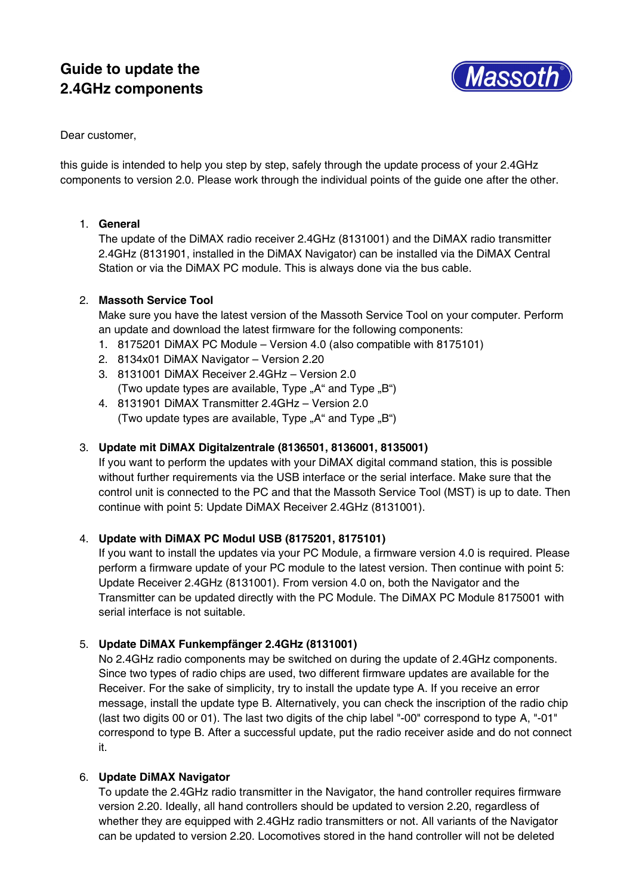# **Guide to update the 2.4GHz components**



Dear customer,

this guide is intended to help you step by step, safely through the update process of your 2.4GHz components to version 2.0. Please work through the individual points of the guide one after the other.

# 1. **General**

The update of the DiMAX radio receiver 2.4GHz (8131001) and the DiMAX radio transmitter 2.4GHz (8131901, installed in the DiMAX Navigator) can be installed via the DiMAX Central Station or via the DiMAX PC module. This is always done via the bus cable.

### 2. **Massoth Service Tool**

Make sure you have the latest version of the Massoth Service Tool on your computer. Perform an update and download the latest firmware for the following components:

- 1. 8175201 DiMAX PC Module Version 4.0 (also compatible with 8175101)
- 2. 8134x01 DiMAX Navigator Version 2.20
- 3. 8131001 DiMAX Receiver 2.4GHz Version 2.0 (Two update types are available, Type " $A^*$  and Type " $B^*$ )
- 4. 8131901 DiMAX Transmitter 2.4GHz Version 2.0 (Two update types are available, Type " $A^*$  and Type " $B^*$ )

## 3. **Update mit DiMAX Digitalzentrale (8136501, 8136001, 8135001)**

If you want to perform the updates with your DiMAX digital command station, this is possible without further requirements via the USB interface or the serial interface. Make sure that the control unit is connected to the PC and that the Massoth Service Tool (MST) is up to date. Then continue with point 5: Update DiMAX Receiver 2.4GHz (8131001).

# 4. **Update with DiMAX PC Modul USB (8175201, 8175101)**

If you want to install the updates via your PC Module, a firmware version 4.0 is required. Please perform a firmware update of your PC module to the latest version. Then continue with point 5: Update Receiver 2.4GHz (8131001). From version 4.0 on, both the Navigator and the Transmitter can be updated directly with the PC Module. The DiMAX PC Module 8175001 with serial interface is not suitable.

# 5. **Update DiMAX Funkempfänger 2.4GHz (8131001)**

No 2.4GHz radio components may be switched on during the update of 2.4GHz components. Since two types of radio chips are used, two different firmware updates are available for the Receiver. For the sake of simplicity, try to install the update type A. If you receive an error message, install the update type B. Alternatively, you can check the inscription of the radio chip (last two digits 00 or 01). The last two digits of the chip label "-00" correspond to type A, "-01" correspond to type B. After a successful update, put the radio receiver aside and do not connect it.

#### 6. **Update DiMAX Navigator**

To update the 2.4GHz radio transmitter in the Navigator, the hand controller requires firmware version 2.20. Ideally, all hand controllers should be updated to version 2.20, regardless of whether they are equipped with 2.4GHz radio transmitters or not. All variants of the Navigator can be updated to version 2.20. Locomotives stored in the hand controller will not be deleted